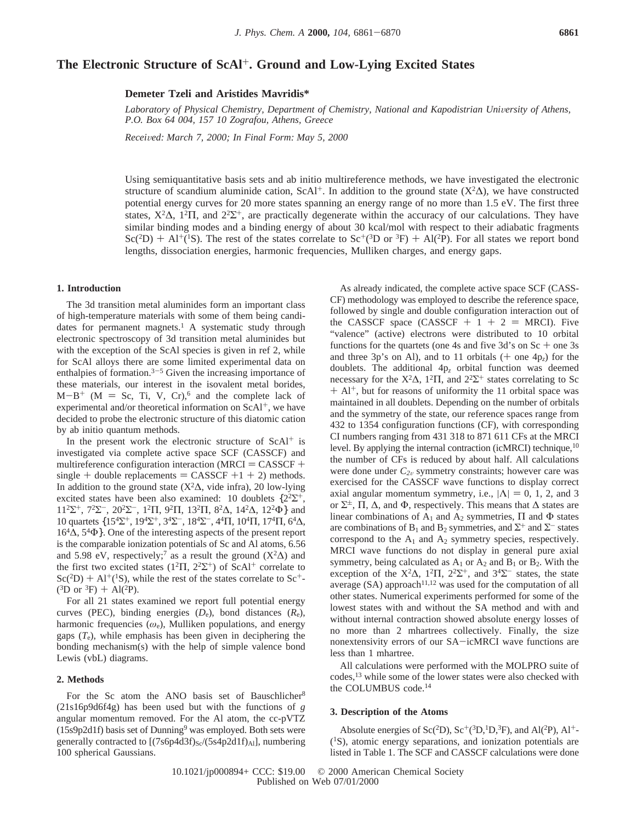# **The Electronic Structure of ScAl**+**. Ground and Low-Lying Excited States**

**Demeter Tzeli and Aristides Mavridis\***

Laboratory of Physical Chemistry, Department of Chemistry, National and Kapodistrian University of Athens, *P.O. Box 64 004, 157 10 Zografou, Athens, Greece*

*Recei*V*ed: March 7, 2000; In Final Form: May 5, 2000*

Using semiquantitative basis sets and ab initio multireference methods, we have investigated the electronic structure of scandium aluminide cation, ScAl<sup>+</sup>. In addition to the ground state  $(X^2\Delta)$ , we have constructed potential energy curves for 20 more states spanning an energy range of no more than 1.5 eV. The first three states,  $X^2\Delta$ ,  $1^2\Pi$ , and  $2^2\Sigma^+$ , are practically degenerate within the accuracy of our calculations. They have similar binding modes and a binding energy of about 30 kcal/mol with respect to their adiabatic fragments  $Sc(^{2}D)$  + Al<sup>+</sup>(<sup>1</sup>S). The rest of the states correlate to  $Sc^{+}(3D)$  or  ${}^{3}F$ ) + Al(<sup>2</sup>P). For all states we report bond<br>lengths, dissociation energies, harmonic frequencies. Mulliken charges, and energy gans lengths, dissociation energies, harmonic frequencies, Mulliken charges, and energy gaps.

## **1. Introduction**

The 3d transition metal aluminides form an important class of high-temperature materials with some of them being candidates for permanent magnets.<sup>1</sup> A systematic study through electronic spectroscopy of 3d transition metal aluminides but with the exception of the ScAl species is given in ref 2, while for ScAl alloys there are some limited experimental data on enthalpies of formation. $3-5$  Given the increasing importance of these materials, our interest in the isovalent metal borides,  $M-B^+$  (M = Sc, Ti, V, Cr),<sup>6</sup> and the complete lack of experimental and/or theoretical information on  $ScAl^+$ , we have decided to probe the electronic structure of this diatomic cation by ab initio quantum methods.

In the present work the electronic structure of  $ScAl<sup>+</sup>$  is investigated via complete active space SCF (CASSCF) and multireference configuration interaction ( $MRCI = CASSCF +$ single + double replacements = CASSCF +1 + 2) methods. In addition to the ground state ( $X^2\Delta$ , vide infra), 20 low-lying excited states have been also examined: 10 doublets  $\{2^2\Sigma^+,$ 11<sup>2</sup>Σ<sup>+</sup>, 7<sup>2</sup>Σ<sup>-</sup>, 20<sup>2</sup>Σ<sup>-</sup>, 1<sup>2</sup>Π, 9<sup>2</sup>Π, 13<sup>2</sup>Π, 8<sup>2</sup>Δ, 14<sup>2</sup>Δ, 12<sup>2</sup>Φ} and 10 quartets  $\{15^4\Sigma^+, 19^4\Sigma^+, 3^4\Sigma^-, 18^4\Sigma^-, 4^4\Pi, 10^4\Pi, 17^4\Pi, 6^4\Delta,$ 164∆, 54Φ}. One of the interesting aspects of the present report is the comparable ionization potentials of Sc and Al atoms, 6.56 and 5.98 eV, respectively;<sup>7</sup> as a result the ground (X<sup>2</sup> $\Delta$ ) and the first two excited states ( $1^2\Pi$ ,  $2^2\Sigma^+$ ) of ScAl<sup>+</sup> correlate to  $Sc(^{2}D) + Al^{+}({}^{1}S)$ , while the rest of the states correlate to  $Sc^{+}$ - $(^3D$  or  $^3F$ ) + Al(<sup>2</sup>P).

For all 21 states examined we report full potential energy curves (PEC), binding energies (*D*e), bond distances (*R*e), harmonic frequencies  $(\omega_e)$ , Mulliken populations, and energy gaps (*T*e), while emphasis has been given in deciphering the bonding mechanism(s) with the help of simple valence bond Lewis (vbL) diagrams.

### **2. Methods**

For the Sc atom the ANO basis set of Bauschlicher<sup>8</sup> (21s16p9d6f4g) has been used but with the functions of *g* angular momentum removed. For the Al atom, the cc-pVTZ  $(15s9p2d1f)$  basis set of Dunning<sup>9</sup> was employed. Both sets were generally contracted to [(7s6p4d3f)<sub>Sc</sub>/(5s4p2d1f)<sub>Al</sub>], numbering 100 spherical Gaussians.

As already indicated, the complete active space SCF (CASS-CF) methodology was employed to describe the reference space, followed by single and double configuration interaction out of the CASSCF space (CASSCF  $+ 1 + 2 = MRCI$ ). Five "valence" (active) electrons were distributed to 10 orbital functions for the quartets (one 4s and five  $3d$ 's on  $Sc +$  one 3s and three 3p's on Al), and to 11 orbitals  $(+$  one  $4p<sub>z</sub>)$  for the doublets. The additional 4p*<sup>z</sup>* orbital function was deemed necessary for the  $X^2\Delta$ ,  $1^2\Pi$ , and  $2^2\Sigma^+$  states correlating to Sc  $+$  Al<sup>+</sup>, but for reasons of uniformity the 11 orbital space was maintained in all doublets. Depending on the number of orbitals and the symmetry of the state, our reference spaces range from 432 to 1354 configuration functions (CF), with corresponding CI numbers ranging from 431 318 to 871 611 CFs at the MRCI level. By applying the internal contraction (icMRCI) technique,<sup>10</sup> the number of CFs is reduced by about half. All calculations were done under  $C_{2v}$  symmetry constraints; however care was exercised for the CASSCF wave functions to display correct axial angular momentum symmetry, i.e.,  $|\Lambda| = 0$ , 1, 2, and 3 or  $\Sigma^{\pm}$ ,  $\Pi$ ,  $\Delta$ , and  $\Phi$ , respectively. This means that  $\Delta$  states are linear combinations of  $A_1$  and  $A_2$  symmetries,  $\Pi$  and  $\Phi$  states are combinations of B<sub>1</sub> and B<sub>2</sub> symmetries, and  $\Sigma^+$  and  $\Sigma^-$  states correspond to the  $A_1$  and  $A_2$  symmetry species, respectively. MRCI wave functions do not display in general pure axial symmetry, being calculated as  $A_1$  or  $A_2$  and  $B_1$  or  $B_2$ . With the exception of the  $X^2\Delta$ ,  $1^2\Pi$ ,  $2^2\Sigma^+$ , and  $3^4\Sigma^-$  states, the state average (SA) approach<sup>11,12</sup> was used for the computation of all other states. Numerical experiments performed for some of the lowest states with and without the SA method and with and without internal contraction showed absolute energy losses of no more than 2 mhartrees collectively. Finally, the size nonextensivity errors of our SA-icMRCI wave functions are less than 1 mhartree.

All calculations were performed with the MOLPRO suite of codes,13 while some of the lower states were also checked with the COLUMBUS code.14

## **3. Description of the Atoms**

Absolute energies of Sc(<sup>2</sup>D), Sc<sup>+</sup>(<sup>3</sup>D,<sup>1</sup>D,<sup>3</sup>F), and Al(<sup>2</sup>P), Al<sup>+</sup>- $(1S)$ , atomic energy separations, and ionization potentials are listed in Table 1. The SCF and CASSCF calculations were done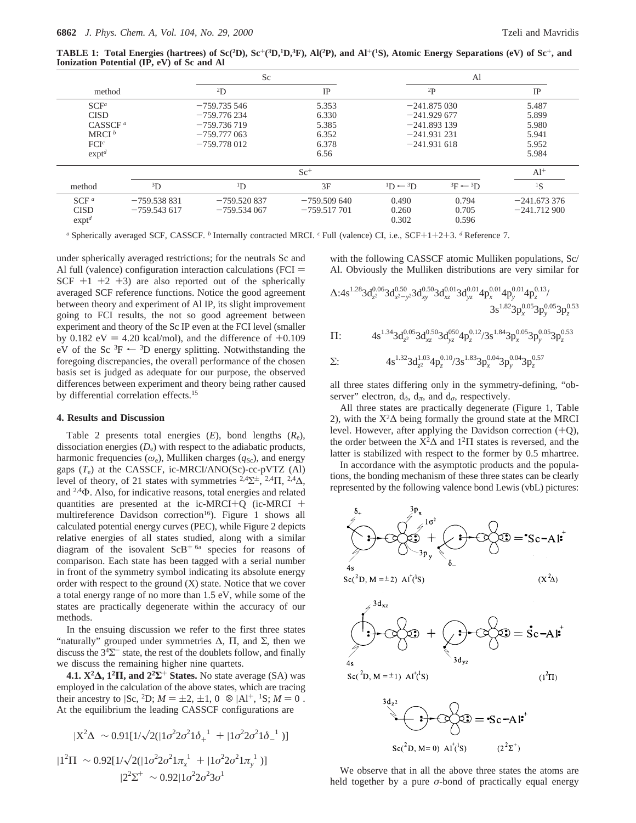**TABLE 1: Total Energies (hartrees) of Sc(2D), Sc**+**(3D,1D,3F), Al(2P), and Al**+**(1S), Atomic Energy Separations (eV) of Sc**+**, and Ionization Potential (IP, eV) of Sc and Al**

|                  |               | Sc                                      | Al            |                    |                              |               |  |
|------------------|---------------|-----------------------------------------|---------------|--------------------|------------------------------|---------------|--|
| method           |               | $^{2}D$                                 | $_{\rm IP}$   | $^{2}P$            |                              | IP            |  |
| $SCF^a$          |               | $-759.735546$                           | 5.353         | $-241.875030$      |                              | 5.487         |  |
| <b>CISD</b>      |               | $-759.776234$<br>6.330                  |               | $-241.929677$      | 5.899                        |               |  |
| $CASSCF^a$       |               | $-759.736719$<br>5.385<br>$-241.893139$ |               |                    | 5.980                        |               |  |
| MRCI $^b$        |               | $-759.777063$                           | 6.352         | $-241.931$ 231     |                              | 5.941         |  |
| FCI <sup>c</sup> |               | $-759.778012$<br>6.378<br>$-241.931618$ |               |                    | 5.952                        |               |  |
| exp <sup>d</sup> |               |                                         | 6.56          |                    |                              | 5.984         |  |
|                  |               | $Sc^+$                                  |               | $Al+$              |                              |               |  |
| method           | ${}^{3}D$     | $\rm^{1}D$                              | 3F            | $1D \leftarrow 3D$ | ${}^{3}F \leftarrow {}^{3}D$ | ${}^{1}S$     |  |
| SCF <sup>a</sup> | $-759.538831$ | $-759.520837$                           | $-759.509640$ | 0.490              | 0.794                        | $-241.673376$ |  |
| <b>CISD</b>      | $-759.543617$ | $-759.534067$                           | $-759.517701$ | 0.260              | 0.705                        | $-241.712900$ |  |
| exp <sup>d</sup> |               |                                         |               | 0.302              | 0.596                        |               |  |

*<sup>a</sup>* Spherically averaged SCF, CASSCF. *<sup>b</sup>* Internally contracted MRCI. *<sup>c</sup>* Full (valence) CI, i.e., SCF+1+2+3. *<sup>d</sup>* Reference 7.

under spherically averaged restrictions; for the neutrals Sc and Al full (valence) configuration interaction calculations ( $FCI =$ SCF  $+1$   $+2$   $+3$ ) are also reported out of the spherically averaged SCF reference functions. Notice the good agreement between theory and experiment of Al IP, its slight improvement going to FCI results, the not so good agreement between experiment and theory of the Sc IP even at the FCI level (smaller by 0.182 eV = 4.20 kcal/mol), and the difference of  $+0.109$ eV of the Sc  ${}^{3}F \leftarrow {}^{3}D$  energy splitting. Notwithstanding the foregoing discrepancies, the overall performance of the chosen basis set is judged as adequate for our purpose, the observed differences between experiment and theory being rather caused by differential correlation effects.15

#### **4. Results and Discussion**

Table 2 presents total energies (*E*), bond lengths (*R*e), dissociation energies  $(D_e)$  with respect to the adiabatic products, harmonic frequencies  $(\omega_e)$ , Mulliken charges  $(q_{\text{Sc}})$ , and energy gaps  $(T_e)$  at the CASSCF, ic-MRCI/ANO(Sc)-cc-pVTZ (Al) level of theory, of 21 states with symmetries <sup>2,4</sup> $\Sigma^{\pm}$ , <sup>2,4</sup> $\Lambda$ , and 2,4Φ. Also, for indicative reasons, total energies and related quantities are presented at the ic-MRCI+Q (ic-MRCI + multireference Davidson correction<sup>16</sup>). Figure 1 shows all calculated potential energy curves (PEC), while Figure 2 depicts relative energies of all states studied, along with a similar diagram of the isovalent  $ScB<sup>+</sup>$ <sup>6a</sup> species for reasons of comparison. Each state has been tagged with a serial number in front of the symmetry symbol indicating its absolute energy order with respect to the ground (X) state. Notice that we cover a total energy range of no more than 1.5 eV, while some of the states are practically degenerate within the accuracy of our methods.

In the ensuing discussion we refer to the first three states "naturally" grouped under symmetries  $\Delta$ ,  $\Pi$ , and  $\Sigma$ , then we discuss the  $3<sup>4</sup>\Sigma$ <sup>-</sup> state, the rest of the doublets follow, and finally we discuss the remaining higher nine quartets.

**4.1. X2∆, 12Π, and 22Σ**<sup>+</sup> **States.** No state average (SA) was employed in the calculation of the above states, which are tracing their ancestry to  $|Sc, {}^{2}D; M = \pm 2, \pm 1, 0 \rangle \otimes |Al^{+}, {}^{1}S; M = 0 \rangle.$ At the equilibrium the leading CASSCF configurations are

$$
|X^2\Delta\rangle \sim 0.91[1/\sqrt{2(|1\sigma^2 2\sigma^2 1\delta_+|^2 + |1\sigma^2 2\sigma^2 1\delta_-|^2)})]
$$
  

$$
|1^2\Pi\rangle \sim 0.92[1/\sqrt{2(|1\sigma^2 2\sigma^2 1\pi_x|^2 + |1\sigma^2 2\sigma^2 1\pi_y|^2})]
$$
  

$$
|2^2\Sigma^+\rangle \sim 0.92|1\sigma^2 2\sigma^2 3\sigma^1\rangle
$$

with the following CASSCF atomic Mulliken populations, Sc/ Al. Obviously the Mulliken distributions are very similar for

$$
\Delta:4s^{1.28}3d_{z^2}^{0.06}3d_{x^2-y^2}^{0.50}3d_{xy}^{0.50}3d_{xz}^{0.01}3d_{yz}^{0.01}4p_{x}^{0.01}4p_{y}^{0.01}4p_{z}^{0.13}/\newline\hspace{2cm}3s^{1.82}3p_{x}^{0.05}3p_{y}^{0.05}3p_{z}^{0.53}
$$

$$
\Pi\!:\qquad \quad \ \, 4s^{1.34}3d_{z^2}^{0.05}3d_{xz}^{0.50}3d_{yz}^{050}4p_z^{0.12}/3s^{1.84}3p_x^{0.05}3p_y^{0.05}3p_z^{0.53}
$$

$$
\Sigma: \qquad \qquad 4s^{1.32}3d_{z^2}^{1.03}4p_z^{0.10}/3s^{1.83}3p_x^{0.04}3p_y^{0.04}3p_z^{0.57}
$$

all three states differing only in the symmetry-defining, "observer" electron,  $d_{\delta}$ ,  $d_{\pi}$ , and  $d_{\sigma}$ , respectively.

All three states are practically degenerate (Figure 1, Table 2), with the  $X^2\Delta$  being formally the ground state at the MRCI level. However, after applying the Davidson correction  $(+Q)$ , the order between the  $X^2\Delta$  and  $1^2\Pi$  states is reversed, and the latter is stabilized with respect to the former by 0.5 mhartree.

In accordance with the asymptotic products and the populations, the bonding mechanism of these three states can be clearly represented by the following valence bond Lewis (vbL) pictures:



We observe that in all the above three states the atoms are held together by a pure  $\sigma$ -bond of practically equal energy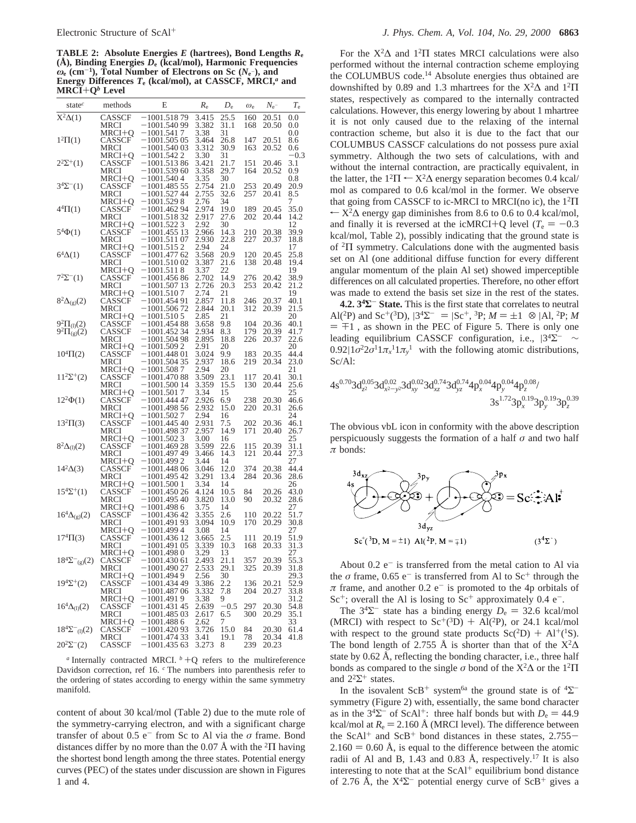**TABLE 2: Absolute Energies** *E* **(hartrees), Bond Lengths** *R***<sup>e</sup> (Å), Binding Energies** *D***<sup>e</sup> (kcal/mol), Harmonic Frequencies** *ω***<sup>e</sup> (cm**-**1), Total Number of Electrons on Sc (***N***<sup>e</sup>** -**), and Energy Differences** *T***<sup>e</sup> (kcal/mol), at CASSCF, MRCI,***<sup>a</sup>* **and MRCI**+**Q***<sup>b</sup>* **Level**

| state $\epsilon$              | methods          | Е                               | $R_{\rm e}$    | $D_{\rm e}$   | $\omega_{e}$ | $N_{\rm e}$ -  | $T_{\rm e}$  |
|-------------------------------|------------------|---------------------------------|----------------|---------------|--------------|----------------|--------------|
| $X^2\Delta(1)$                | CASSCF           | $-1001.51879$                   | 3.415          | 25.5          | 160          | 20.51          | $_{0.0}$     |
|                               | MRCI             | $-1001.54099$                   | 3.382          | 31.1          | 168          | 20.50          | 0.0          |
|                               | MRCI+O           | $-1001.5417$                    | 3.38           | 31            |              |                | 0.0          |
| $1^2\Pi(1)$                   | CASSCF<br>MRCI   | $-1001.50505$<br>–1001.540 03   | 3.464<br>3.312 | 26.8<br>30.9  | 147<br>163   | 20.51<br>20.52 | 8.6<br>0.6   |
|                               | MRCI+Q           | –1001.542 2                     | 3.30           | 31            |              |                | $-0.3$       |
| $2^2\Sigma^+(1)$              | CASSCF           | $-1001.51386$                   | 3.421          | 21.7          | 151          | 20.46          | 3.1          |
|                               | MRCI             | $-1001.539\ 60$                 | 3.358          | 29.7          | 164          | 20.52          | 0.9          |
|                               | MRCI+Q           | $-1001.5404$                    | 3.35           | 30            |              |                | 0.8          |
| $3^4\Sigma^{-}(1)$            | CASSCF           | $-1001.48555$                   | 2.754          | 21.0          | 253          | 20.49          | 20.9         |
|                               | MRCI<br>MRCI+O   | –1001.527 44<br>$-1001.5298$    | 2.755<br>2.76  | 32.6<br>34    | 257          | 20.41          | 8.5<br>7     |
| $4^4\Pi(1)$                   | CASSCF           | $-1001.46294$                   | 2.974          | 19.0          | 189          | 20.45          | 35.0         |
|                               | MRCI             | $-1001.51832$                   | 2.917          | 27.6          | 202          | 20.44          | 14.2         |
|                               | MRCI+Q           | $-1001.5223$                    | 2.92           | 30            |              |                | 12           |
| $5^4\Phi(1)$                  | CASSCF           | $-1001.45513$                   | 2.966          | 14.3          | 210          | 20.38          | 39.9         |
|                               | MRCI             | $-1001.51107$                   | 2.930          | 22.8          | 227          | 20.37          | 18.8         |
| $6^4\Delta(1)$                | MRCI+Q<br>CASSCF | –1001.515 2<br>–1001.477 62     | 2.94<br>3.568  | 24<br>20.9    | 120          | 20.45          | 17<br>25.8   |
|                               | MRCI             | $-1001.51002$                   | 3.387          | 21.6          | 138          | 20.48          | 19.4         |
|                               | MRCI+Q           | $-1001.5118$                    | 3.37           | 22            |              |                | 19           |
| $7^{2}\Sigma^{-}(1)$          | CASSCF           | $-1001.45686$                   | 2.702          | 14.9          | 276          | 20.42          | 38.9         |
|                               | MRCI             | $-1001.50713$                   | 2.726          | 20.3          | 253          | 20.42          | 21.2         |
|                               | MRCI+Q           | $-1001.5107$                    | 2.74           | 21            |              |                | 19           |
| $8^2\Delta_{(g)}(2)$          | CASSCF<br>MRCI   | –1001.454 91<br>$-1001.506\,72$ | 2.857<br>2.844 | 11.8<br>20.1  | 246<br>312   | 20.37<br>20.39 | 40.1<br>21.5 |
|                               | MRCI+Q           | $-1001.5105$                    | 2.85           | 21            |              |                | 20           |
| $9^{2}\Pi_{(1)}(2)$           | CASSCF           | $-1001.45488$                   | 3.658          | 9.8           | 104          | 20.36          | 40.1         |
| $9^{2}\Pi_{(g)}(2)$           | CASSCF           | $-1001.45234$                   | 2.934          | 8.3           | 179          | 20.39          | 41.7         |
|                               | MRCI             | $-1001.50498$                   | 2.895          | 18.8          | 226          | 20.37          | 22.6         |
|                               | MRCI+Q<br>CASSCF | $-1001.5092$<br>$-1001.44801$   | 2.91<br>3.024  | 20<br>9.9     | 183          | 20.35          | 20<br>44.4   |
| $10^4\Pi(2)$                  | MRCI             | $-1001.50435$                   | 2.937          | 18.6          | 219          | 20.34          | 23.0         |
|                               | MRCI+O           | $-1001.5087$                    | 2.94           | 20            |              |                | 21           |
| $11^2\Sigma^+(2)$             | CASSCF           | $-1001.47088$                   | 3.509          | 23.1          | 117          | 20.41          | 30.1         |
|                               | MRCI             | $-1001.50014$                   | 3.359          | 15.5          | 130          | 20.44          | 25.6         |
|                               | MRCI+Q           | $-1001.501\ 7$                  | 3.34           | 15            |              |                | 25           |
| $12^2\Phi(1)$                 | CASSCF           | –1001.444 47<br>$-1001.49856$   | 2.926<br>2.932 | 6.9           | 238<br>220   | 20.30          | 46.6         |
|                               | MRCI<br>MRCI+Q   | $-1001.5027$                    | 2.94           | 15.0<br>16    |              | 20.31          | 26.6<br>24   |
| $13^{2}\Pi(3)$                | CASSCF           | $-1001.44540$                   | 2.931          | 7.5           | 202          | 20.36          | 46.1         |
|                               | MRCI             | –1001.498 37                    | 2.957          | 14.9          | 171          | 20.40          | 26.7         |
|                               | MRCI+Q           | $-1001.5023$                    | 3.00           | 16            |              |                | 25           |
| $8^{2}\Delta_{(1)}(2)$        | CASSCF           | $-1001.46928$                   | 3.599          | 22.6          | 115          | 20.39          | 31.1         |
|                               | MRCI<br>MRCI+Q   | $-1001.49749$<br>–1001.499 2    | 3.466<br>3.44  | 14.3<br>14    | 121          | 20.44          | 27.3<br>27   |
| $14^2\Delta(3)$               | CASSCF           | $-1001.448~06$                  | 3.046          | 12.0          | 374          | 20.38          | 44.4         |
|                               | MRCI             | –1001.495 42                    | 3.291          | 13.4          | 284          | 20.36          | 28.6         |
|                               | MRCI+Q           | -1001.500 1                     | 3.34           | 14            |              |                | 26           |
| $15^4\Sigma^+(1)$             | CASSCF           | $-1001.45026$                   | 4.124          | 10.5          | 84           | 20.26          | 43.0         |
|                               | MRCI             | –1001.495 40<br>$-1001.4986$    | 3.820<br>3.75  | 13.0<br>14    | 90           | 20.32          | 28.6         |
| $16^4\Delta_{(g)}(2)$         | MRCI+Q<br>CASSCF | $-1001.43642$                   | 3.355          | 2.6           | 110          | 20.22          | 27<br>51.7   |
|                               | MRCI             | –1001.491 93                    | 3.094          | 10.9          | 170          | 20.29          | 30.8         |
|                               | MRCI+Q           | –1001.499 4                     | 3.08           | 14            |              |                | 27           |
| $17^{4} \Pi(3)$               | CASSCF           | –1001.436 12                    | 3.665          | 2.5           | 111          | 20.19          | 51.9         |
|                               | MRCI             | –1001.491 05                    | 3.339          | 10.3          | 168          | 20.33          | 31.3<br>27   |
| $18^4\Sigma^-{}_{(g)}(2)$     | MRCI+Q<br>CASSCF | $-1001.4980$<br>–1001.430 61    | 3.29<br>2.493  | 13<br>21.1    | 357          | 20.39          | 55.3         |
|                               | MRCI             | 1001.490 27                     | 2.533          | 29.1          | 325          | 20.39          | 31.8         |
|                               | MRCI+Q           | –1001.494 9                     | 2.56           | 30            |              |                | 29.3         |
| $19^4\Sigma^+(2)$             | CASSCF           | –1001.434 49                    | 3.386          | 2.2           | 136          | 20.21          | 52.9         |
|                               | MRCI             | -1001.487 06                    | 3.332          | 7.8           | 204          | 20.27          | 33.8         |
|                               | MRCI+Q           | $-1001.4919$                    | 3.38           | 9             |              |                | 31.2         |
| $16^4 \Delta_{\text{(l)}}(2)$ | CASSCF<br>MRCI   | –1001.431 45<br>$-1001.48503$   | 2.639<br>2.617 | $-0.5$<br>6.5 | 297<br>300   | 20.30<br>20.29 | 54.8<br>35.1 |
|                               | MRCI+O           | $-1001.4886$                    | 2.62           | 7             |              |                | 33           |
| $18^4\Sigma^-{}_{(1)}(2)$     | CASSCF           | –1001.420 93                    | 3.726          | 15.0          | 84           | 20.30          | 61.4         |
|                               | MRCI             | $-1001.47433$                   | 3.41           | 19.1          | 78           | 20.34          | 41.8         |
| $20^2\Sigma^-(2)$             | CASSCF           | $-1001.43563$                   | 3.273          | 8             | 239          | 20.23          |              |
|                               |                  |                                 |                |               |              |                |              |

*a* Internally contracted MRCI.  $b + Q$  refers to the multireference Davidson correction, ref 16. <sup>c</sup> The numbers into parenthesis refer to the ordering of states according to energy within the same symmetry manifold.

content of about 30 kcal/mol (Table 2) due to the mute role of the symmetry-carrying electron, and with a significant charge transfer of about 0.5 e<sup>-</sup> from Sc to Al via the *σ* frame. Bond distances differ by no more than the 0.07 Å with the  ${}^{2}$  $\Pi$  having the shortest bond length among the three states. Potential energy curves (PEC) of the states under discussion are shown in Figures 1 and 4.

For the  $X^2\Delta$  and  $1^2\Pi$  states MRCI calculations were also performed without the internal contraction scheme employing the COLUMBUS code.14 Absolute energies thus obtained are downshifted by 0.89 and 1.3 mhartrees for the  $X^2\Delta$  and  $1^2\Pi$ states, respectively as compared to the internally contracted calculations. However, this energy lowering by about 1 mhartree it is not only caused due to the relaxing of the internal contraction scheme, but also it is due to the fact that our COLUMBUS CASSCF calculations do not possess pure axial symmetry. Although the two sets of calculations, with and without the internal contraction, are practically equivalent, in the latter, the  $1^2\Pi \leftarrow X^2\Delta$  energy separation becomes 0.4 kcal/ mol as compared to 0.6 kcal/mol in the former. We observe that going from CASSCF to ic-MRCI to MRCI(no ic), the 12Π  $\leftarrow$  X<sup>2</sup> $\Delta$  energy gap diminishes from 8.6 to 0.6 to 0.4 kcal/mol, and finally it is reversed at the icMRCI+Q level ( $T_e = -0.3$ ) kcal/mol, Table 2), possibly indicating that the ground state is of <sup>2</sup>Π symmetry. Calculations done with the augmented basis set on Al (one additional diffuse function for every different angular momentum of the plain Al set) showed imperceptible differences on all calculated properties. Therefore, no other effort was made to extend the basis set size in the rest of the states.

**4.2. 34Σ**- **State.** This is the first state that correlates to neutral Al(<sup>2</sup>P) and Sc<sup>+</sup>(<sup>3</sup>D),  $|3^4\Sigma^{-} \rangle = |Sc^+, {}^{3}P$ ;  $M = \pm 1 \rangle \otimes |Al, {}^{2}P$ ; M  $= \pm 1$ , as shown in the PEC of Figure 5. There is only one leading equilibrium CASSCF configuration, i.e.,  $|3^4\Sigma^{-}\rangle \sim$  $0.92|1\sigma^2 2\sigma^1 1\pi_x^{-1} 1\pi_y^{-1}$  with the following atomic distributions, Sc/Al:

$$
4s^{0.70}3d_{z^2}^{0.05}3d_{x^2-y^2}^{0.02}3d_{xy}^{0.02}3d_{xz}^{0.74}3d_{yz}^{0.74}4p_x^{0.04}4p_y^{0.04}4p_z^{0.08}/\\3s^{1.72}3p_x^{0.19}3p_y^{0.19}3p_z^{0.39}
$$

The obvious vbL icon in conformity with the above description perspicuously suggests the formation of a half *σ* and two half *π* bonds:



About  $0.2 e^{-}$  is transferred from the metal cation to Al via the  $\sigma$  frame, 0.65 e<sup>-</sup> is transferred from Al to Sc<sup>+</sup> through the  $\pi$  frame, and another 0.2 e<sup>-</sup> is promoted to the 4p orbitals of  $Sc^+$ ; overall the Al is losing to  $Sc^+$  approximately 0.4 e<sup>-</sup>.

The  $3<sup>4</sup>\Sigma$ <sup>-</sup> state has a binding energy  $D_e = 32.6$  kcal/mol (MRCI) with respect to  $Sc^+(3D) + Al(^{2}P)$ , or 24.1 kcal/mol with respect to the ground state products  $Sc(^{2}D) + Al^{+} ({}^{1}S)$ . The bond length of 2.755 Å is shorter than that of the  $X^2\Delta$ state by  $0.62 \text{ Å}$ , reflecting the bonding character, i.e., three half bonds as compared to the single  $\sigma$  bond of the X<sup>2</sup> $\Delta$  or the 1<sup>2</sup> $\Pi$ and  $2^2\Sigma^+$  states.

In the isovalent ScB<sup>+</sup> system<sup>6a</sup> the ground state is of  ${}^{4}\Sigma^{-}$ symmetry (Figure 2) with, essentially, the same bond character as in the  $3<sup>4</sup>\Sigma$ <sup>-</sup> of ScAl<sup>+</sup>: three half bonds but with  $D_e = 44.9$ kcal/mol at  $R_e = 2.160 \text{ Å}$  (MRCI level). The difference between the ScAl<sup>+</sup> and ScB<sup>+</sup> bond distances in these states,  $2.755 2.160 = 0.60$  Å, is equal to the difference between the atomic radii of Al and B, 1.43 and 0.83 Å, respectively.<sup>17</sup> It is also interesting to note that at the  $ScAl<sup>+</sup>$  equilibrium bond distance of 2.76 Å, the  $X^4\Sigma^-$  potential energy curve of ScB<sup>+</sup> gives a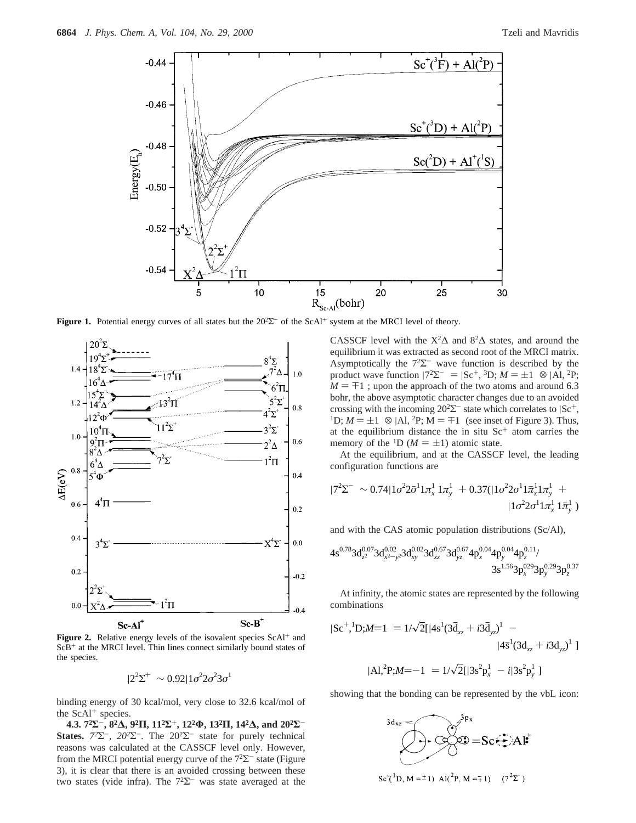

**Figure 1.** Potential energy curves of all states but the 20<sup>2</sup>Σ<sup>-</sup> of the ScAl<sup>+</sup> system at the MRCI level of theory.



**Figure 2.** Relative energy levels of the isovalent species ScAl<sup>+</sup> and  $ScB<sup>+</sup>$  at the MRCI level. Thin lines connect similarly bound states of the species.

 $|2^2\Sigma^+\rangle \sim 0.92|1\sigma^22\sigma^23\sigma^1\rangle$ 

binding energy of 30 kcal/mol, very close to 32.6 kcal/mol of the  $ScAl^+$  species.

**4.3. 72Σ**-**, 82∆, 92Π, 112Σ**+**, 122Φ, 132Π, 142∆, and 202Σ**-**States.**  $7^{2}\Sigma^{-}$ ,  $20^{2}\Sigma^{-}$ . The  $20^{2}\Sigma^{-}$  state for purely technical reasons was calculated at the CASSCF level only. However, from the MRCI potential energy curve of the  $7<sup>2</sup>\Sigma$ <sup>-</sup> state (Figure 3), it is clear that there is an avoided crossing between these two states (vide infra). The  $7<sup>2</sup>\Sigma$  was state averaged at the CASSCF level with the  $X^2\Delta$  and  $8^2\Delta$  states, and around the equilibrium it was extracted as second root of the MRCI matrix. Asymptotically the  $7<sup>2</sup>\Sigma$  wave function is described by the product wave function  $|7^2\Sigma^{-}\rangle = |Sc^+, {}^3D; M = \pm 1\rangle \otimes |Al, {}^2P;$  $M = \pm 1$ ; upon the approach of the two atoms and around 6.3 bohr, the above asymptotic character changes due to an avoided crossing with the incoming  $20^2\Sigma^-$  state which correlates to  $|Sc^+$ , <sup>1</sup>D; *M* =  $\pm$ 1)  $\otimes$  |Al, <sup>2</sup>P; *M* =  $\mp$ 1) (see inset of Figure 3). Thus, at the equilibrium distance the in situ  $Sc<sup>+</sup>$  atom carries the memory of the <sup>1</sup>D ( $M = \pm 1$ ) atomic state.

At the equilibrium, and at the CASSCF level, the leading configuration functions are

$$
|7^{2}\Sigma^{-}\rangle \sim 0.74|1\sigma^{2}2\bar{\sigma}^{1}1\pi_{x}^{1}1\pi_{y}^{1}\rangle + 0.37(|1\sigma^{2}2\sigma^{1}1\bar{\pi}_{x}^{1}1\pi_{y}^{1}\rangle + |1\sigma^{2}2\sigma^{1}1\pi_{x}^{1}1\bar{\pi}_{y}^{1}\rangle)
$$

and with the CAS atomic population distributions (Sc/Al),

$$
4s^{0.78}3d_{z^2}^{0.07}3d_{x^2-y^2}^{0.02}3d_{xy}^{0.02}3d_{xz}^{0.67}3d_{yz}^{0.67}4p_x^{0.04}4p_y^{0.04}4p_z^{0.11}/\newline 3s^{1.56}3p_x^{029}3p_y^{0.29}3p_z^{0.37}
$$

At infinity, the atomic states are represented by the following combinations

$$
|Sc^{+1}D;M=1\rangle = 1/\sqrt{2}[|4s^{1}(3\bar{d}_{xz} + i3\bar{d}_{yz})^{1}\rangle - |4\bar{s}^{1}(3d_{xz} + i3d_{yz})^{1}\rangle]
$$
  

$$
|Al,^{2}P;M=-1\rangle = 1/\sqrt{2}[|3s^{2}p_{x}^{1}\rangle - i|3s^{2}p_{y}^{1}\rangle]
$$

showing that the bonding can be represented by the vbL icon:

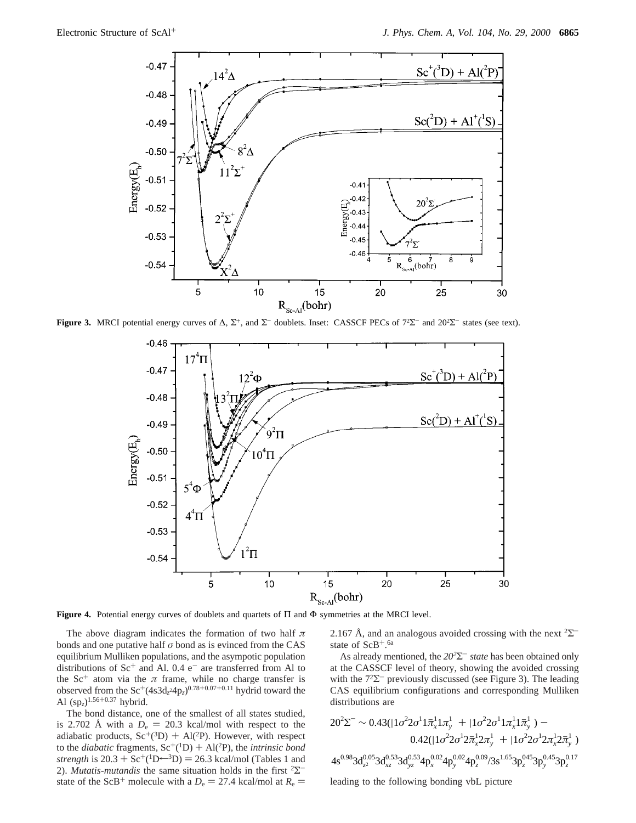

**Figure 3.** MRCI potential energy curves of  $\Delta$ ,  $\Sigma^+$ , and  $\Sigma^-$  doublets. Inset: CASSCF PECs of  $7^2\Sigma^-$  and  $20^2\Sigma^-$  states (see text).



**Figure 4.** Potential energy curves of doublets and quartets of Π and Φ symmetries at the MRCI level.

The above diagram indicates the formation of two half *π* bonds and one putative half *σ* bond as is evinced from the CAS equilibrium Mulliken populations, and the asympotic population distributions of  $Sc^+$  and Al. 0.4  $e^-$  are transferred from Al to the Sc<sup>+</sup> atom via the  $\pi$  frame, while no charge transfer is observed from the  $\text{Sc}^+(4s3d_z 4p_z)^{0.78+0.07+0.11}$  hydrid toward the Al (sp*z*)1.56+0.37 hybrid.

The bond distance, one of the smallest of all states studied, is 2.702 Å with a  $D_e = 20.3$  kcal/mol with respect to the adiabatic products,  $Sc^+(3D) + Al(^{2}P)$ . However, with respect to the *diabatic* fragments,  $Sc^+(1D) + Al(^{2}P)$ , the *intrinsic bond strength* is  $20.3 + Sc^{+}(1D^{-3}D) = 26.3$  kcal/mol (Tables 1 and 2). *Mutatis-mutandis* the same situation holds in the first <sup>2</sup>Σstate of the ScB<sup>+</sup> molecule with a  $D_e = 27.4$  kcal/mol at  $R_e =$  2.167 Å, and an analogous avoided crossing with the next  $2\Sigma$ <sup>-</sup> state of  $ScB^{+.6a}$ 

As already mentioned, the *202*Σ- *state* has been obtained only at the CASSCF level of theory, showing the avoided crossing with the  $72\text{--}$  previously discussed (see Figure 3). The leading CAS equilibrium configurations and corresponding Mulliken distributions are

$$
20^2 \Sigma^- \sim 0.43(|1\sigma^2 2\sigma^1 1\bar{\pi}_x^1 1\pi_y^1\rangle + |1\sigma^2 2\sigma^1 1\pi_x^1 1\bar{\pi}_y^1\rangle) -
$$
  

$$
0.42(|1\sigma^2 2\sigma^1 2\bar{\pi}_x^1 2\pi_y^1\rangle + |1\sigma^2 2\sigma^1 2\pi_x^1 2\bar{\pi}_y^1\rangle)
$$
  

$$
4s^{0.98}3d_{z^2}^{0.05}3d_{xz}^{0.53}3d_{yz}^{0.53}4p_x^{0.02}4p_y^{0.02}4p_z^{0.09}/3s^{1.65}3p_z^{045}3p_y^{0.45}3p_z^{0.17}
$$

leading to the following bonding vbL picture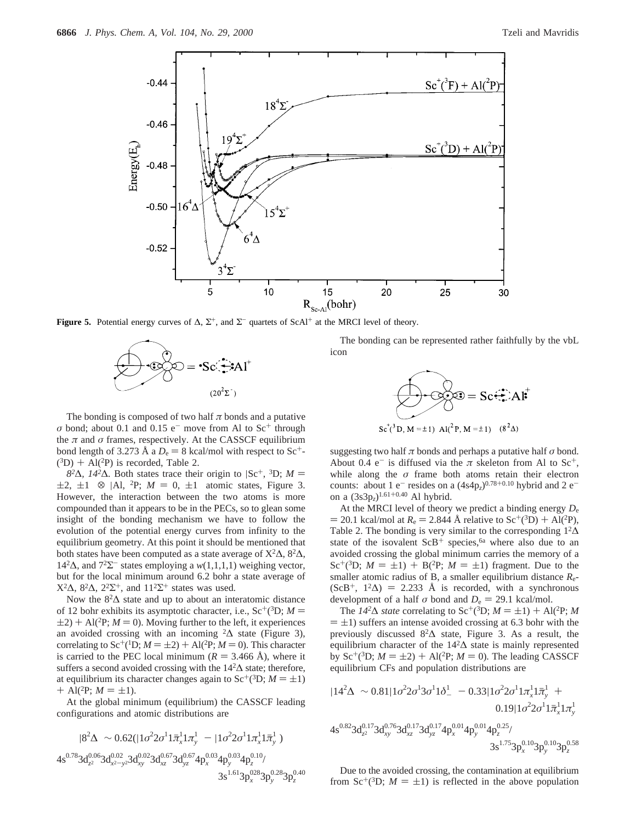

**Figure 5.** Potential energy curves of  $\Delta$ ,  $\Sigma^+$ , and  $\Sigma^-$  quartets of ScAl<sup>+</sup> at the MRCI level of theory.



The bonding is composed of two half  $\pi$  bonds and a putative  $\sigma$  bond; about 0.1 and 0.15 e<sup>-</sup> move from Al to Sc<sup>+</sup> through the  $\pi$  and  $\sigma$  frames, respectively. At the CASSCF equilibrium bond length of 3.273 Å a  $D_e = 8$  kcal/mol with respect to Sc<sup>+</sup>- $(^3D)$  + Al(<sup>2</sup>P) is recorded, Table 2.

 $8<sup>2</sup>Δ$ *, 14*<sup>2</sup>Δ*.* Both states trace their origin to  $|Sc^+, {}^3D$ ; *M* =  $\pm 2$ ,  $\pm 1$ )  $\otimes$  |Al, <sup>2</sup>P; *M* = 0,  $\pm 1$ ) atomic states, Figure 3. However, the interaction between the two atoms is more compounded than it appears to be in the PECs, so to glean some insight of the bonding mechanism we have to follow the evolution of the potential energy curves from infinity to the equilibrium geometry. At this point it should be mentioned that both states have been computed as a state average of  $X^2\Delta$ ,  $8^2\Delta$ , 142∆, and 72Σ- states employing a *w*(1,1,1,1) weighing vector, but for the local minimum around 6.2 bohr a state average of X<sup>2</sup>Δ, 8<sup>2</sup>Δ, 2<sup>2</sup>Σ<sup>+</sup>, and 11<sup>2</sup>Σ<sup>+</sup> states was used.

Now the  $8<sup>2</sup>\Delta$  state and up to about an interatomic distance of 12 bohr exhibits its asymptotic character, i.e.,  $Sc^+(3D; M =$  $(2+2) + Al({}^{2}P; M = 0)$ . Moving further to the left, it experiences an avoided crossing with an incoming  ${}^2\Delta$  state (Figure 3), correlating to Sc<sup>+</sup>(<sup>1</sup>D;  $M = \pm 2$ ) + Al(<sup>2</sup>P;  $M = 0$ ). This character is carried to the PEC local minimum ( $R = 3.466 \text{ Å}$ ), where it suffers a second avoided crossing with the 14<sup>2</sup>∆ state; therefore, at equilibrium its character changes again to  $Sc^{+}(^{3}D; M = \pm 1)$  $+$  Al(<sup>2</sup>P;  $M = \pm 1$ ).

At the global minimum (equilibrium) the CASSCF leading configurations and atomic distributions are

$$
|8^{2}\Delta\rangle \sim 0.62(|1\sigma^{2}2\sigma^{1}1\bar{\pi}_{x}^{1}1\pi_{y}^{1}\rangle - |1\sigma^{2}2\sigma^{1}1\pi_{x}^{1}1\bar{\pi}_{y}^{1}\rangle)
$$
  

$$
4s^{0.78}3d_{z^{2}}^{0.06}3d_{x^{2}-y^{2}}^{0.02}3d_{xy}^{0.02}3d_{xz}^{0.67}3d_{yz}^{0.67}4p_{x}^{0.03}4p_{y}^{0.03}4p_{z}^{0.10}/
$$
  

$$
3s^{1.61}3p_{x}^{028}3p_{y}^{0.28}3p_{z}^{0.40}
$$

The bonding can be represented rather faithfully by the vbL icon



suggesting two half  $\pi$  bonds and perhaps a putative half  $\sigma$  bond. About 0.4  $e^-$  is diffused via the  $\pi$  skeleton from Al to Sc<sup>+</sup>, while along the  $\sigma$  frame both atoms retain their electron counts: about 1 e<sup>-</sup> resides on a  $(4s4p<sub>z</sub>)^{0.78+0.10}$  hybrid and 2 e<sup>-</sup> on a (3s3p*z*)1.61+0.40 Al hybrid.

At the MRCI level of theory we predict a binding energy *D*<sup>e</sup>  $= 20.1$  kcal/mol at  $R_e = 2.844$  Å relative to Sc<sup>+</sup>(<sup>3</sup>D) + Al(<sup>2</sup>P), Table 2. The bonding is very similar to the corresponding  $1^2\Delta$ state of the isovalent  $ScB^+$  species,<sup>6a</sup> where also due to an avoided crossing the global minimum carries the memory of a Sc<sup>+</sup>(<sup>3</sup>D; *M* =  $\pm$ 1) + B(<sup>2</sup>P; *M* =  $\pm$ 1) fragment. Due to the smaller atomic radius of B, a smaller equilibrium distance *R*e-  $(ScB^+, 1^2\Delta) = 2.233$  Å is recorded, with a synchronous development of a half  $\sigma$  bond and  $D_e = 29.1$  kcal/mol.

The  $14^{2}\Delta$  *state* correlating to Sc<sup>+</sup>(<sup>3</sup>D; *M* = ±1) + Al(<sup>2</sup>P; *M*  $= \pm 1$ ) suffers an intense avoided crossing at 6.3 bohr with the previously discussed 82∆ state, Figure 3. As a result, the equilibrium character of the  $14<sup>2</sup>∆$  state is mainly represented by Sc<sup>+</sup>(<sup>3</sup>D; *M* =  $\pm$ 2) + Al(<sup>2</sup>P; *M* = 0). The leading CASSCF equilibrium CFs and population distributions are

$$
|14^{2}\Delta\rangle \sim 0.81|1\sigma^{2}2\sigma^{1}3\sigma^{1}1\delta_{-}^{1}\rangle - 0.33|1\sigma^{2}2\sigma^{1}1\pi_{x}^{1}1\bar{\pi}_{y}^{1}\rangle + 0.19|1\sigma^{2}2\sigma^{1}1\bar{\pi}_{x}^{1}1\pi_{y}^{1}\rangle
$$
  

$$
4s^{0.82}3d_{z^{2}}^{0.17}3d_{xy}^{0.76}3d_{xz}^{0.17}3d_{yz}^{0.17}4p_{x}^{0.01}4p_{y}^{0.01}4p_{z}^{0.25}/
$$
  

$$
3s^{1.75}3p_{x}^{0.10}3p_{y}^{0.10}3p_{z}^{0.58}
$$

Due to the avoided crossing, the contamination at equilibrium from Sc<sup>+</sup>(<sup>3</sup>D;  $M = \pm 1$ ) is reflected in the above population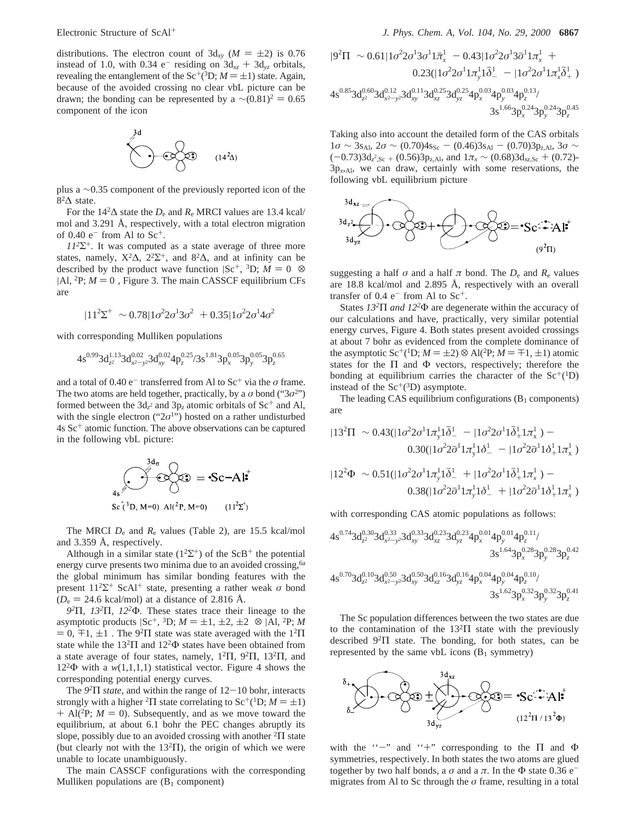distributions. The electron count of  $3d_{xy}$  ( $M = \pm 2$ ) is 0.76 instead of 1.0, with 0.34  $e^-$  residing on  $3d_{xz} + 3d_{yz}$  orbitals, revealing the entanglement of the  $Sc^{+}(^{3}D; M = \pm 1)$  state. Again, because of the avoided crossing no clear vbL picture can be drawn; the bonding can be represented by a  $\sim (0.81)^2 = 0.65$ component of the icon



plus a ∼0.35 component of the previously reported icon of the 82∆ state.

For the  $14<sup>2</sup>\Delta$  state the  $D_e$  and  $R_e$  MRCI values are 13.4 kcal/ mol and 3.291 Å, respectively, with a total electron migration of  $0.40$  e<sup>-</sup> from Al to Sc<sup>+</sup>.

*112*Σ+*.* It was computed as a state average of three more states, namely,  $X^2\Delta$ ,  $2^2\Sigma^+$ , and  $8^2\Delta$ , and at infinity can be described by the product wave function  $|Sc^+, ^3D; M = 0 \rangle$   $\otimes$  $|$ Al, <sup>2</sup>P;  $M = 0$ <sup>)</sup>, Figure 3. The main CASSCF equilibrium CFs are

$$
|11^2\Sigma^+\rangle \sim 0.78|1\sigma^2 2\sigma^1 3\sigma^2\rangle + 0.35|1\sigma^2 2\sigma^1 4\sigma^2\rangle
$$

with corresponding Mulliken populations

$$
4s^{0.99}3d_{z^2}^{1.13}3d_{x^2-y^2}^{0.02}3d_{xy}^{0.02}4p_z^{0.25}/3s^{1.81}3p_x^{0.05}3p_y^{0.05}3p_z^{0.65}\\
$$

and a total of 0.40  $e^-$  transferred from Al to  $Sc^+$  via the  $\sigma$  frame. The two atoms are held together, practically, by a  $\sigma$  bond ("3 $\sigma$ 2") formed between the  $3d_z^2$  and  $3p_z$  atomic orbitals of  $Sc^+$  and Al, with the single electron (" $2\sigma$ <sup>1</sup>") hosted on a rather undisturbed  $4s$  Sc<sup>+</sup> atomic function. The above observations can be captured in the following vbL picture:

$$
\begin{aligned}\n\mathbf{3d}_{\sigma} \\
\mathbf{4s}^{3d_{\sigma}} \\
\mathbf{3c}^{+3}\mathbf{D}, \mathbf{M}=0\n\end{aligned} \quad \begin{aligned}\n\mathbf{3d}_{\sigma} \\
\mathbf{3d}_{\sigma} \\
\mathbf{3d}_{\sigma} \\
\mathbf{3d}_{\sigma} \\
\mathbf{3d}_{\sigma} \\
\mathbf{3d}_{\sigma} \\
\mathbf{3d}_{\sigma} \\
\mathbf{3d}_{\sigma} \\
\mathbf{3d}_{\sigma} \\
\mathbf{3d}_{\sigma} \\
\mathbf{3d}_{\sigma} \\
\mathbf{3d}_{\sigma} \\
\mathbf{3d}_{\sigma} \\
\mathbf{3d}_{\sigma} \\
\mathbf{3d}_{\sigma} \\
\mathbf{3d}_{\sigma} \\
\mathbf{3d}_{\sigma} \\
\mathbf{3d}_{\sigma} \\
\mathbf{3d}_{\sigma} \\
\mathbf{3d}_{\sigma} \\
\mathbf{3d}_{\sigma} \\
\mathbf{3d}_{\sigma} \\
\mathbf{3d}_{\sigma} \\
\mathbf{3d}_{\sigma} \\
\mathbf{3d}_{\sigma} \\
\mathbf{3d}_{\sigma} \\
\mathbf{3d}_{\sigma} \\
\mathbf{3d}_{\sigma} \\
\mathbf{3d}_{\sigma} \\
\mathbf{3d}_{\sigma} \\
\mathbf{3d}_{\sigma} \\
\mathbf{3d}_{\sigma} \\
\mathbf{3d}_{\sigma} \\
\mathbf{3d}_{\sigma} \\
\mathbf{3d}_{\sigma} \\
\mathbf{3d}_{\sigma} \\
\mathbf{3d}_{\sigma} \\
\mathbf{3d}_{\sigma} \\
\mathbf{3d}_{\sigma} \\
\mathbf{3d}_{\sigma} \\
\mathbf{3d}_{\sigma} \\
\mathbf{3d}_{\sigma} \\
\mathbf{3d}_{\sigma} \\
\mathbf{3d}_{\sigma} \\
\mathbf{3d}_{\sigma} \\
\mathbf{3d}_{\sigma} \\
\mathbf{3d}_{\sigma} \\
\mathbf{3d}_{\sigma} \\
\mathbf{3d}_{\sigma} \\
\mathbf{3d}_{\sigma} \\
\mathbf{3d}_{\sigma} \\
\mathbf{3d}_{\sigma} \\
\mathbf{3d}_{\sigma} \\
\mathbf{3d}_{\sigma} \\
\mathbf{3d}_{\sigma} \\
\mathbf{3d}_{\sigma} \\
\mathbf{3d}_{\sigma} \\
\mathbf{3d}_{\sigma} \\
\mathbf{3d}_{\sigma} \\
\mathbf{3d}_{\sigma} \\
\mathbf{3d}_{\sigma} \\
\mathbf{3d}_{\sigma} \\
\mathbf{3d}_{\sigma
$$

The MRCI *D*<sup>e</sup> and *R*<sup>e</sup> values (Table 2), are 15.5 kcal/mol and 3.359 Å, respectively.

Although in a similar state ( $1^2\Sigma^+$ ) of the ScB<sup>+</sup> the potential energy curve presents two minima due to an avoided crossing,<sup>6a</sup> the global minimum has similar bonding features with the present  $11^2\Sigma^+$  ScAl<sup>+</sup> state, presenting a rather weak  $\sigma$  bond  $(D_e = 24.6 \text{ kcal/mol})$  at a distance of 2.816 Å.

*92*Π*, 132*Π*, 122*Φ*.* These states trace their lineage to the asymptotic products  $|Sc^+, {}^3D; M = \pm 1, \pm 2, \pm 2 \rangle \otimes |A|, {}^2P; M$  $= 0, \pm 1, \pm 1$ ). The 9<sup>2</sup>Π state was state averaged with the 1<sup>2</sup>Π state while the  $13^{2}\Pi$  and  $12^{2}\Phi$  states have been obtained from a state average of four states, namely,  $1^2\Pi$ ,  $9^2\Pi$ ,  $13^2\Pi$ , and  $12<sup>2</sup> \Phi$  with a *w*(1,1,1,1) statistical vector. Figure 4 shows the corresponding potential energy curves.

The *<sup>92</sup>*<sup>Π</sup> *state*, and within the range of 12-10 bohr, interacts strongly with a higher <sup>2</sup>Π state correlating to  $Sc^{+1}D$ ;  $M = \pm 1$ )  $+$  Al(<sup>2</sup>P;  $M = 0$ ). Subsequently, and as we move toward the equilibrium, at about 6.1 bohr the PEC changes abruptly its slope, possibly due to an avoided crossing with another  ${}^{2}$ Π state (but clearly not with the  $13^{2}$ H), the origin of which we were unable to locate unambiguously.

The main CASSCF configurations with the corresponding Mulliken populations are  $(B_1 \text{ component})$ 

$$
\begin{aligned}[t] |9^2\Pi\rangle &\sim 0.61 |1\sigma^2 2\sigma^1 3\sigma^1 1 \bar\pi_x^1\rangle - 0.43 |1\sigma^2 2\sigma^1 3\bar\sigma^1 1 \pi_x^1\rangle + \\ &\quad 0.23 (|1\sigma^2 2\sigma^1 1 \pi_y^1 1 \bar\delta^1_- \rangle - |1\sigma^2 2\sigma^1 1 \pi_x^1 \bar\delta^1_+ \rangle) \\ &\quad 4s^{0.85} 3d_{z^2}^{0.60} 3d_{x^2-y^2}^{0.12} 3d_{xy}^{0.13} 3d_{xz}^{0.25} 3d_{yz}^{0.25} 4p_x^{0.03} 4p_y^{0.03} 4p_z^{0.13} / \\ &\quad 3s^{1.66} 3p_x^{0.24} 3p_y^{0.24} 3p_z^{0.45} \end{aligned}
$$

Taking also into account the detailed form of the CAS orbitals  $1\sigma \sim 3s_{Al}$ ,  $2\sigma \sim (0.70)4s_{Sc} - (0.46)3s_{Al} - (0.70)3p_{z,Al}$ ,  $3\sigma \sim$  $(-0.73)3d_z^2$ ,  $\frac{3.5}{2}$   $\frac{(0.56)3p_{z,Al}}{2}$ , and  $1\pi_x \sim (0.68)3d_{xz,Sc} + (0.72)$ -<br>3n  $\ldots$  we can draw certainly with some reservations the  $3p_{x,Al}$ , we can draw, certainly with some reservations, the following vbL equilibrium picture



suggesting a half  $\sigma$  and a half  $\pi$  bond. The  $D_e$  and  $R_e$  values are 18.8 kcal/mol and 2.895 Å, respectively with an overall transfer of  $0.4$  e<sup>-</sup> from Al to Sc<sup>+</sup>.

States *132*Π *and 122*Φ are degenerate within the accuracy of our calculations and have, practically, very similar potential energy curves, Figure 4. Both states present avoided crossings at about 7 bohr as evidenced from the complete dominance of the asymptotic Sc<sup>+</sup>(<sup>1</sup>D;  $M = \pm 2$ )  $\otimes$  Al(<sup>2</sup>P;  $M = \mp 1, \pm 1$ ) atomic states for the  $\Pi$  and  $\Phi$  vectors, respectively; therefore the bonding at equilibrium carries the character of the  $Sc^{+1}D$ ) instead of the  $Sc^+(3D)$  asymptote.

The leading CAS equilibrium configurations  $(B_1$  components) are

$$
|13^2\Pi\rangle \sim 0.43(|1\sigma^2 2\sigma^1 1\pi_y^1 1\bar{\delta}^1 \rangle - |1\sigma^2 2\sigma^1 1\bar{\delta}^1_+ 1\pi_x^1 \rangle) -
$$
  
\n
$$
0.30(|1\sigma^2 2\bar{\sigma}^1 1\pi_y^1 1\delta^1 \rangle - |1\sigma^2 2\bar{\sigma}^1 1\delta^1_+ 1\pi_x^1 \rangle)
$$
  
\n
$$
|12^2\Phi\rangle \sim 0.51(|1\sigma^2 2\sigma^1 1\pi_y^1 1\bar{\delta}^1 \rangle + |1\sigma^2 2\sigma^1 1\bar{\delta}^1_+ 1\pi_x^1 \rangle) -
$$
  
\n
$$
0.38(|1\sigma^2 2\bar{\sigma}^1 1\pi_y^1 1\delta^1 \rangle + |1\sigma^2 2\bar{\sigma}^1 1\delta^1_+ 1\pi_x^1 \rangle)
$$

with corresponding CAS atomic populations as follows:

$$
\begin{aligned}4s^{0.74}3d_{z^2}^{0.30}3d_{x^2-y^2}^{0.33}3d_{xy}^{0.23}3d_{yz}^{0.23}4p_x^{0.01}4p_y^{0.01}4p_z^{0.11}/\\ &\phantom{+}3s^{1.64}3p_x^{0.28}3p_y^{0.28}3p_z^{0.42}\\4s^{0.70}3d_{z^2}^{0.10}3d_{x^2-y^2}^{0.50}3d_{xy}^{0.50}3d_{xz}^{0.16}3d_{yz}^{0.16}4p_x^{0.04}4p_y^{0.04}4p_z^{0.10}/\\ &\phantom{+}3s^{1.62}3p_x^{0.32}3p_y^{0.32}3p_z^{0.42}\end{aligned}
$$

The Sc population differences between the two states are due to the contamination of the  $13<sup>2</sup>\Pi$  state with the previously described 92Π state. The bonding, for both states, can be represented by the same vbL icons  $(B_1$  symmetry)



with the "-" and "+" corresponding to the  $\Pi$  and  $\Phi$ symmetries, respectively. In both states the two atoms are glued together by two half bonds, a  $\sigma$  and a  $\pi$ . In the  $\Phi$  state 0.36 e<sup>-</sup> migrates from Al to Sc through the *σ* frame, resulting in a total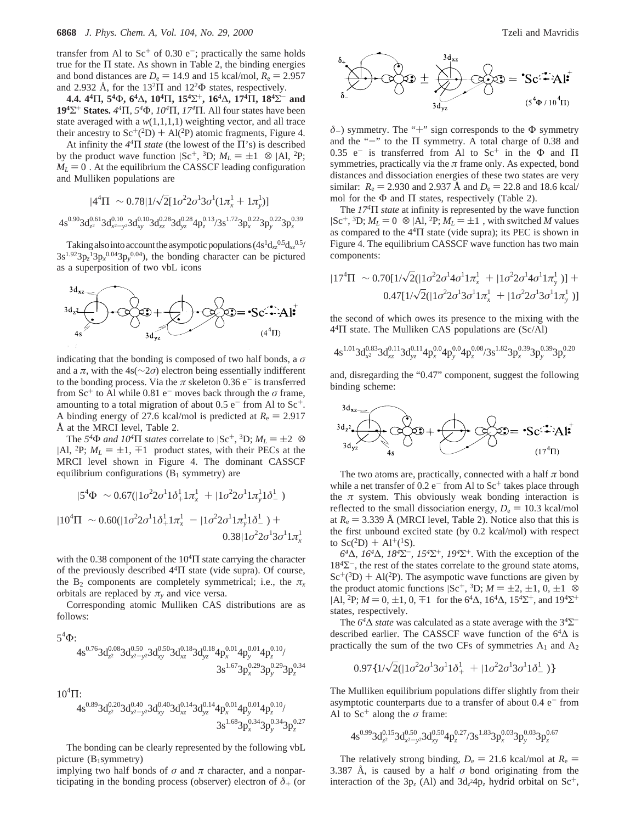transfer from Al to  $Sc^+$  of 0.30 e<sup>-</sup>; practically the same holds true for the  $\Pi$  state. As shown in Table 2, the binding energies and bond distances are  $D_e = 14.9$  and 15 kcal/mol,  $R_e = 2.957$ and 2.932 Å, for the  $13^{2}\Pi$  and  $12^{2}\Phi$  states, respectively.

**4.4. 44**Π**, 54**Φ**, 64**∆**, 104**Π**, 154**Σ+**, 164**∆**, 174**Π**, 184**Σ- **and 194**Σ<sup>+</sup> **States.** *44*Π*, 54*Φ*, 104*Π*, 174*Π*.* All four states have been state averaged with a *w*(1,1,1,1) weighting vector, and all trace their ancestry to  $Sc^+(2D) + Al^2P$  atomic fragments, Figure 4.

At infinity the *44*Π *state* (the lowest of the Π's) is described by the product wave function  $|Sc^+, {}^3D; M_L = \pm 1 \rangle \otimes |A|, {}^2P;$  $M_L = 0$ ). At the equilibrium the CASSCF leading configuration and Mulliken populations are

$$
|4^{4}\Pi\rangle \sim 0.78|1/\sqrt{2}[1\sigma^{2}2\sigma^{1}3\sigma^{1}(1\pi_{x}^{1}+1\pi_{y}^{1})]\rangle
$$

 $4s^{0.90}3d_{z^2}^{0.61}3d_{x^2-y^2}^{0.10}3d_{xz}^{0.28}3d_{yz}^{0.28}4p_z^{0.13}/3s^{1.72}3p_x^{0.22}3p_y^{0.22}3p_z^{0.39}$ 

Taking also into account the asympotic populations  $(4s^1d_{xz}^{0.5}d_{xz}^{0.5}/d_{xz}^{0.5})$  $3s^{1.92}3p_z^{13}p_x^{0.04}3p_y^{0.04}$ , the bonding character can be pictured as a superposition of two vbL icons



indicating that the bonding is composed of two half bonds, a *σ* and a  $\pi$ , with the 4s( $\sim$ 2*σ*) electron being essentially indifferent to the bonding process. Via the  $\pi$  skeleton 0.36 e<sup>-</sup> is transferred from  $Sc^+$  to Al while 0.81 e<sup>-</sup> moves back through the  $\sigma$  frame, amounting to a total migration of about  $0.5 e^-$  from Al to Sc<sup>+</sup>. A binding energy of 27.6 kcal/mol is predicted at  $R_e = 2.917$ Å at the MRCI level, Table 2.

The 5<sup>4</sup> $\Phi$  *and 10<sup>4</sup>* $\Pi$  *states* correlate to  $|Sc^+, {}^3D; M_L = \pm 2 \rangle$   $\otimes$  $|$ Al, <sup>2</sup>P;  $M_L = \pm 1$ ,  $\mp 1$  product states, with their PECs at the MRCI level shown in Figure 4. The dominant CASSCF equilibrium configurations  $(B_1$  symmetry) are

$$
|5^{4}\Phi\rangle \sim 0.67(|1\sigma^{2}2\sigma^{1}1\delta_{+}^{1}1\pi_{x}^{1}\rangle + |1\sigma^{2}2\sigma^{1}1\pi_{y}^{1}1\delta_{-}^{1}\rangle)
$$
  

$$
|10^{4}\Pi\rangle \sim 0.60(|1\sigma^{2}2\sigma^{1}1\delta_{+}^{1}1\pi_{x}^{1}\rangle - |1\sigma^{2}2\sigma^{1}1\pi_{y}^{1}1\delta_{-}^{1}\rangle) +
$$
  

$$
0.38|1\sigma^{2}2\sigma^{1}3\sigma^{1}1\pi_{x}^{1}\rangle
$$

with the 0.38 component of the  $10<sup>4</sup>$ I state carrying the character of the previously described 44Π state (vide supra). Of course, the  $B_2$  components are completely symmetrical; i.e., the  $\pi_x$ orbitals are replaced by  $\pi$ <sup>*y*</sup> and vice versa.

Corresponding atomic Mulliken CAS distributions are as follows:

$$
\substack{5^4\Phi:\\4s^{0.76}3d_{z^2}^{0.08}3d_{x^2-y^2}^{0.50}3d_{xy}^{0.50}3d_{xz}^{0.18}3d_{yz}^{0.18}4p_x^{0.01}4p_y^{0.01}4p_z^{0.10}/\\3s^{1.67}3p_x^{0.29}3p_y^{0.29}3p_z^{0.34}}
$$

 $10^4 \Pi$ :

$$
4s^{0.89}3d_{z^2}^{0.20}3d_{x^2-y^2}^{0.40}3d_{xy}^{0.14}3d_{yz}^{0.14}4p_x^{0.01}4p_y^{0.01}4p_z^{0.10}/\ \hspace*{35pt} {3s^{1.68}3p_x^{0.34}3p_y^{0.34}3p_z^{0.27}}
$$

The bonding can be clearly represented by the following vbL picture  $(B_1$ symmetry)

implying two half bonds of  $\sigma$  and  $\pi$  character, and a nonparticipating in the bonding process (observer) electron of  $\delta_{+}$  (or



*<sup>δ</sup>*-) symmetry. The "+" sign corresponds to the <sup>Φ</sup> symmetry and the "-" to the  $\Pi$  symmetry. A total charge of 0.38 and 0.35 e<sup>-</sup> is transferred from Al to Sc<sup>+</sup> in the  $\Phi$  and  $\Pi$ symmetries, practically via the  $\pi$  frame only. As expected, bond distances and dissociation energies of these two states are very similar:  $R_e = 2.930$  and 2.937 Å and  $D_e = 22.8$  and 18.6 kcal/ mol for the  $\Phi$  and  $\Pi$  states, respectively (Table 2).

The *174*Π *state* at infinity is represented by the wave function  $|Sc^+, {}^3D; M_L = 0 \rangle \otimes |Al, {}^2P; M_L = \pm 1 \rangle$ , with switched *M* values as compared to the  $44\Pi$  state (vide supra); its PEC is shown in Figure 4. The equilibrium CASSCF wave function has two main components:

$$
|17^{4}\Pi\rangle \sim 0.70[1/\sqrt{2}(|1\sigma^{2}2\sigma^{1}4\sigma^{1}1\pi_{x}^{1}\rangle + |1\sigma^{2}2\sigma^{1}4\sigma^{1}1\pi_{y}^{1}\rangle)] +
$$
  
0.47[1/\sqrt{2}(|1\sigma^{2}2\sigma^{1}3\sigma^{1}1\pi\_{x}^{1}\rangle + |1\sigma^{2}2\sigma^{1}3\sigma^{1}1\pi\_{y}^{1}\rangle)]

the second of which owes its presence to the mixing with the  $4<sup>4</sup>\Pi$  state. The Mulliken CAS populations are (Sc/Al)

$$
4s^{1.01}3d_{x^2}^{0.83}3d_{xz}^{0.11}3d_{yz}^{0.11}4p_x^{0.0}4p_y^{0.0}4p_z^{0.08}/3s^{1.82}3p_x^{0.39}3p_y^{0.39}3p_z^{0.20}
$$

and, disregarding the "0.47" component, suggest the following binding scheme:



The two atoms are, practically, connected with a half *π* bond while a net transfer of  $0.2 e^-$  from Al to  $Sc^+$  takes place through the  $\pi$  system. This obviously weak bonding interaction is reflected to the small dissociation energy,  $D_e = 10.3$  kcal/mol at  $R_e = 3.339$  Å (MRCI level, Table 2). Notice also that this is the first unbound excited state (by 0.2 kcal/mol) with respect to  $Sc(^{2}D) + Al^{+}(^{1}S)$ .

*64*∆*, 164*∆*, 184*Σ-*, 154*Σ+*, 194*Σ+*.* With the exception of the  $18<sup>4</sup>\Sigma$ <sup>-</sup>, the rest of the states correlate to the ground state atoms,  $Sc^{+}(^{3}D) + Al^{2}P$ ). The asympotic wave functions are given by the product atomic functions  $|Sc^+, {}^3D; M = \pm 2, \pm 1, 0, \pm 1 \rangle$   $\otimes$  $|$ Al, <sup>2</sup>P; *M* = 0, ±1, 0,  $\mp$ 1 $\rangle$  for the 6<sup>4</sup> $\Delta$ , 16<sup>4</sup> $\Delta$ , 15<sup>4</sup> $\Sigma$ <sup>+</sup>, and 19<sup>4</sup> $\Sigma$ <sup>+</sup> states, respectively.

The *6<sup>4</sup>*Δ *state* was calculated as a state average with the 3<sup>4</sup>Σ<sup>-</sup> described earlier. The CASSCF wave function of the  $64\Delta$  is practically the sum of the two CFs of symmetries  $A_1$  and  $A_2$ 

$$
0.97\{1/\sqrt{2}(|1\sigma^2 2\sigma^1 3\sigma^1 1\delta^1_+\rangle+|1\sigma^2 2\sigma^1 3\sigma^1 1\delta^1_-\rangle)\}
$$

The Mulliken equilibrium populations differ slightly from their asymptotic counterparts due to a transfer of about  $0.4 e^-$  from Al to  $Sc^+$  along the  $\sigma$  frame:

$$
4s^{0.99}3d_{z^2}^{0.15}3d_{x^2-y^2}^{0.50}3d_{xy}^{0.50}4p_z^{0.27}/3s^{1.83}3p_x^{0.03}3p_y^{0.03}3p_z^{0.67}\\
$$

The relatively strong binding,  $D_e = 21.6$  kcal/mol at  $R_e =$ 3.387 Å, is caused by a half *σ* bond originating from the interaction of the  $3p_z$  (Al) and  $3d_z^2 4p_z$  hydrid orbital on Sc<sup>+</sup>,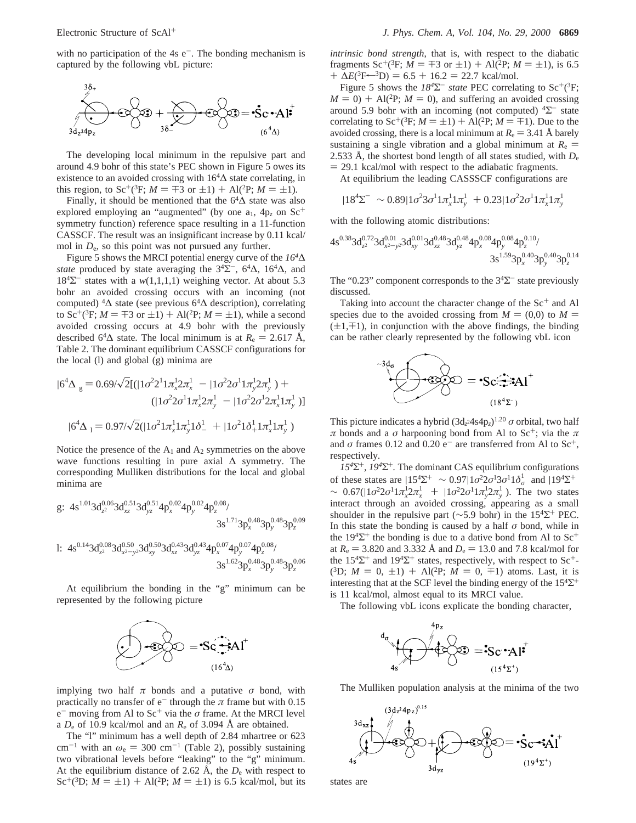with no participation of the  $4s e^-$ . The bonding mechanism is captured by the following vbL picture:



The developing local minimum in the repulsive part and around 4.9 bohr of this state's PEC shown in Figure 5 owes its existence to an avoided crossing with  $16<sup>4</sup>$ ∆ state correlating, in this region, to Sc<sup>+</sup>(<sup>3</sup>F; *M* =  $\mp$ 3 or  $\pm$ 1) + Al(<sup>2</sup>P; *M* =  $\pm$ 1).

Finally, it should be mentioned that the  $64\Delta$  state was also explored employing an "augmented" (by one  $a_1$ ,  $4p_z$  on  $Sc^+$ symmetry function) reference space resulting in a 11-function CASSCF. The result was an insignificant increase by 0.11 kcal/ mol in  $D_e$ , so this point was not pursued any further.

Figure 5 shows the MRCI potential energy curve of the *164*∆ *state* produced by state averaging the  $3<sup>4</sup>\Sigma$ <sup>-</sup>,  $6<sup>4</sup>\Delta$ ,  $16<sup>4</sup>\Delta$ , and  $18<sup>4</sup>\Sigma$ <sup>-</sup> states with a *w*(1,1,1,1) weighing vector. At about 5.3 bohr an avoided crossing occurs with an incoming (not computed)  ${}^4\Delta$  state (see previous 6 ${}^4\Delta$  description), correlating to Sc<sup>+</sup>(<sup>3</sup>F; *M* =  $\mp$ 3 or  $\pm$ 1) + Al(<sup>2</sup>P; *M* =  $\pm$ 1), while a second avoided crossing occurs at 4.9 bohr with the previously described 6<sup>4</sup> $\Delta$  state. The local minimum is at  $R_e = 2.617 \text{ Å}$ , Table 2. The dominant equilibrium CASSCF configurations for the local (l) and global (g) minima are

$$
|6^{4}\Delta\rangle_{g} = 0.69/\sqrt{2}[(|1\sigma^{2}2^{1}1\pi_{x}^{1}2\pi_{x}^{1}\rangle - |1\sigma^{2}2\sigma^{1}1\pi_{y}^{1}2\pi_{y}^{1}\rangle) +
$$
  
\n
$$
(|1\sigma^{2}2\sigma^{1}1\pi_{x}^{1}2\pi_{y}^{1}\rangle - |1\sigma^{2}2\sigma^{1}2\pi_{x}^{1}1\pi_{y}^{1}\rangle)]
$$
  
\n
$$
|6^{4}\Delta\rangle_{I} = 0.97/\sqrt{2}(|1\sigma^{2}1\pi_{x}^{1}1\pi_{y}^{1}1\delta_{-}^{1}\rangle + |1\sigma^{2}1\delta_{+}^{1}1\pi_{x}^{1}1\pi_{y}^{1}\rangle)
$$

Notice the presence of the  $A_1$  and  $A_2$  symmetries on the above wave functions resulting in pure axial ∆ symmetry. The corresponding Mulliken distributions for the local and global minima are

g: 
$$
4s^{1.01}3d_{z^2}^{0.06}3d_{xz}^{0.51}3d_{yz}^{0.51}4p_x^{0.02}4p_y^{0.02}4p_z^{0.08}/
$$
  
\n $3s^{1.71}3p_x^{0.48}3p_y^{0.48}3p_z^{0.09}$   
\n1:  $4s^{0.14}3d_{z^2}^{0.08}3d_{x^2-y^2}^{0.50}3d_{xy}^{0.50}3d_{xz}^{0.43}3d_{yz}^{0.43}4p_x^{0.07}4p_y^{0.07}4p_z^{0.08}/$   
\n $3s^{1.62}3p_x^{0.48}3p_y^{0.48}3p_z^{0.06}$ 

At equilibrium the bonding in the "g" minimum can be represented by the following picture



implying two half  $\pi$  bonds and a putative  $\sigma$  bond, with practically no transfer of  $e^-$  through the  $\pi$  frame but with 0.15 e- moving from Al to Sc<sup>+</sup> via the *σ* frame. At the MRCI level a  $D_e$  of 10.9 kcal/mol and an  $R_e$  of 3.094 Å are obtained.

The "l" minimum has a well depth of 2.84 mhartree or 623 cm<sup>-1</sup> with an  $\omega_e = 300 \text{ cm}^{-1}$  (Table 2), possibly sustaining two vibrational levels before "leaking" to the "g" minimum. At the equilibrium distance of 2.62  $\AA$ , the  $D_e$  with respect to Sc<sup>+</sup>(<sup>3</sup>D; *M* =  $\pm$ 1) + Al(<sup>2</sup>P; *M* =  $\pm$ 1) is 6.5 kcal/mol, but its *intrinsic bond strength*, that is, with respect to the diabatic fragments Sc<sup>+</sup>(<sup>3</sup>F; *M* =  $\mp$ 3 or  $\pm$ 1) + Al(<sup>2</sup>P; *M* =  $\pm$ 1), is 6.5  $+ \Delta E(^3F \leftarrow {}^3D) = 6.5 + 16.2 = 22.7$  kcal/mol.

Figure 5 shows the  $18^{4}\Sigma^{-}$  *state* PEC correlating to Sc<sup>+</sup>(<sup>3</sup>F;  $M = 0$ ) + Al(<sup>2</sup>P;  $M = 0$ ), and suffering an avoided crossing around 5.9 bohr with an incoming (not computed)  ${}^{4}\Sigma^{-}$  state correlating to Sc<sup>+</sup>(<sup>3</sup>F; *M* =  $\pm$ 1) + Al(<sup>2</sup>P; *M* =  $\mp$ 1). Due to the avoided crossing, there is a local minimum at  $R_e = 3.41$  Å barely sustaining a single vibration and a global minimum at  $R_e$  = 2.533 Å, the shortest bond length of all states studied, with  $D_e$  $= 29.1$  kcal/mol with respect to the adiabatic fragments.

At equilibrium the leading CASSSCF configurations are

$$
|184\Sigma^{-}\rangle \sim 0.89|1\sigma^{2}3\sigma^{1}1\pi_{x}^{1}1\pi_{y}^{1}\rangle + 0.23|1\sigma^{2}2\sigma^{1}1\pi_{x}^{1}1\pi_{y}^{1}\rangle
$$

with the following atomic distributions:

$$
4s^{0.38}3d_{z^2}^{0.72}3d_{x^2-y^2}^{0.01}3d_{xy}^{0.48}3d_{yz}^{0.48}4p_x^{0.08}4p_y^{0.08}4p_z^{0.10}/\ \hspace*{35pt} {3s^{1.59}}3p_x^{0.40}3p_y^{0.40}3p_z^{0.14}
$$

The "0.23" component corresponds to the  $3<sup>4</sup>\Sigma$ <sup>-</sup> state previously discussed.

Taking into account the character change of the  $Sc<sup>+</sup>$  and Al species due to the avoided crossing from  $M = (0,0)$  to  $M =$  $(\pm 1,\mp 1)$ , in conjunction with the above findings, the binding can be rather clearly represented by the following vbL icon



This picture indicates a hybrid  $(3d_{z}^{2}4s4p_{z})^{1.20}$  *σ* orbital, two half *π* bonds and a *σ* harpooning bond from Al to Sc<sup>+</sup>; via the *π* and  $\sigma$  frames 0.12 and 0.20 e<sup>-</sup> are transferred from Al to Sc<sup>+</sup>, respectively.

*154*Σ+*, 194*Σ+*.* The dominant CAS equilibrium configurations of these states are  $|15^4\Sigma^+\rangle \sim 0.97|1\sigma^22\sigma^13\sigma^11\delta_\sigma^1\rangle$  and  $|19^4\Sigma^+\rangle$  $\sim 0.67(|1\sigma^2 2\sigma^1 1\pi_x^1 2\pi_x^1 \rangle + |1\sigma^2 2\sigma^1 1\pi_y^1 2\pi_y^1 \rangle$ ). The two states interact through an avoided crossing appearing as a small interact through an avoided crossing, appearing as a small shoulder in the repulsive part ( $\sim$ 5.9 bohr) in the 15<sup>4</sup>Σ<sup>+</sup> PEC. In this state the bonding is caused by a half *σ* bond, while in the  $194\Sigma^+$  the bonding is due to a dative bond from Al to  $Sc^+$ at  $R_e = 3.820$  and 3.332 Å and  $D_e = 13.0$  and 7.8 kcal/mol for the  $15^{4}\Sigma^{+}$  and  $19^{4}\Sigma^{+}$  states, respectively, with respect to Sc<sup>+</sup>- $(^{3}D; M = 0, \pm 1) + Al(^{2}P; M = 0, \mp 1)$  atoms. Last, it is interesting that at the SCF level the binding energy of the  $15<sup>4</sup>Σ<sup>+</sup>$ is 11 kcal/mol, almost equal to its MRCI value.

The following vbL icons explicate the bonding character,



The Mulliken population analysis at the minima of the two



states are